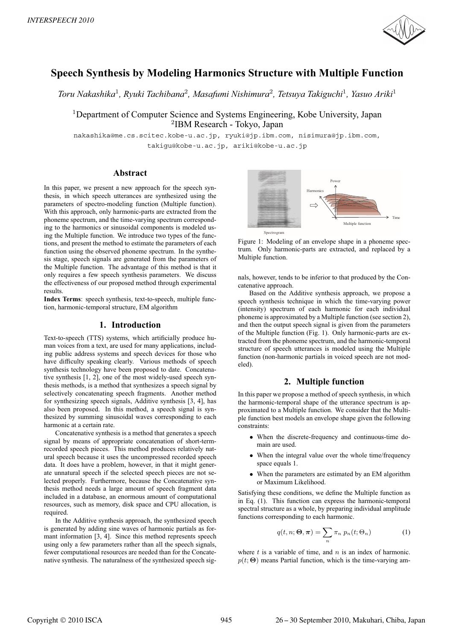

# **Speech Synthesis by Modeling Harmonics Structure with Multiple Function**

*Toru Nakashika*<sup>1</sup>*, Ryuki Tachibana*<sup>2</sup>*, Masafumi Nishimura*<sup>2</sup>*, Tetsuya Takiguchi*<sup>1</sup>*, Yasuo Ariki*<sup>1</sup>

<sup>1</sup>Department of Computer Science and Systems Engineering, Kobe University, Japan <sup>2</sup>IBM Research - Tokyo, Japan

nakashika@me.cs.scitec.kobe-u.ac.jp, ryuki@jp.ibm.com, nisimura@jp.ibm.com, takigu@kobe-u.ac.jp, ariki@kobe-u.ac.jp

### **Abstract**

In this paper, we present a new approach for the speech synthesis, in which speech utterances are synthesized using the parameters of spectro-modeling function (Multiple function). With this approach, only harmonic-parts are extracted from the phoneme spectrum, and the time-varying spectrum corresponding to the harmonics or sinusoidal components is modeled using the Multiple function. We introduce two types of the functions, and present the method to estimate the parameters of each function using the observed phoneme spectrum. In the synthesis stage, speech signals are generated from the parameters of the Multiple function. The advantage of this method is that it only requires a few speech synthesis parameters. We discuss the effectiveness of our proposed method through experimental results.

**Index Terms**: speech synthesis, text-to-speech, multiple function, harmonic-temporal structure, EM algorithm

## **1. Introduction**

Text-to-speech (TTS) systems, which artificially produce human voices from a text, are used for many applications, including public address systems and speech devices for those who have difficulty speaking clearly. Various methods of speech synthesis technology have been proposed to date. Concatenative synthesis [1, 2], one of the most widely-used speech synthesis methods, is a method that synthesizes a speech signal by selectively concatenating speech fragments. Another method for synthesizing speech signals, Additive synthesis [3, 4], has also been proposed. In this method, a speech signal is synthesized by summing sinusoidal waves corresponding to each harmonic at a certain rate.

Concatenative synthesis is a method that generates a speech signal by means of appropriate concatenation of short-termrecorded speech pieces. This method produces relatively natural speech because it uses the uncompressed recorded speech data. It does have a problem, however, in that it might generate unnatural speech if the selected speech pieces are not selected properly. Furthermore, because the Concatenative synthesis method needs a large amount of speech fragment data included in a database, an enormous amount of computational resources, such as memory, disk space and CPU allocation, is required.

In the Additive synthesis approach, the synthesized speech is generated by adding sine waves of harmonic partials as formant information [3, 4]. Since this method represents speech using only a few parameters rather than all the speech signals, fewer computational resources are needed than for the Concatenative synthesis. The naturalness of the synthesized speech sig-



Figure 1: Modeling of an envelope shape in a phoneme spectrum. Only harmonic-parts are extracted, and replaced by a Multiple function.

nals, however, tends to be inferior to that produced by the Concatenative approach.

Based on the Additive synthesis approach, we propose a speech synthesis technique in which the time-varying power (intensity) spectrum of each harmonic for each individual phoneme is approximated by a Multiple function (see section 2), and then the output speech signal is given from the parameters of the Multiple function (Fig. 1). Only harmonic-parts are extracted from the phoneme spectrum, and the harmonic-temporal structure of speech utterances is modeled using the Multiple function (non-harmonic partials in voiced speech are not modeled).

# **2. Multiple function**

In this paper we propose a method of speech synthesis, in which the harmonic-temporal shape of the utterance spectrum is approximated to a Multiple function. We consider that the Multiple function best models an envelope shape given the following constraints:

- When the discrete-frequency and continuous-time domain are used.
- When the integral value over the whole time/frequency space equals 1.
- When the parameters are estimated by an EM algorithm or Maximum Likelihood.

Satisfying these conditions, we define the Multiple function as in Eq. (1). This function can express the harmonic-temporal spectral structure as a whole, by preparing individual amplitude functions corresponding to each harmonic.

$$
q(t, n; \Theta, \boldsymbol{\pi}) = \sum_{n} \pi_n \ p_n(t; \Theta_n)
$$
 (1)

where  $t$  is a variable of time, and  $n$  is an index of harmonic.  $p(t; \Theta)$  means Partial function, which is the time-varying am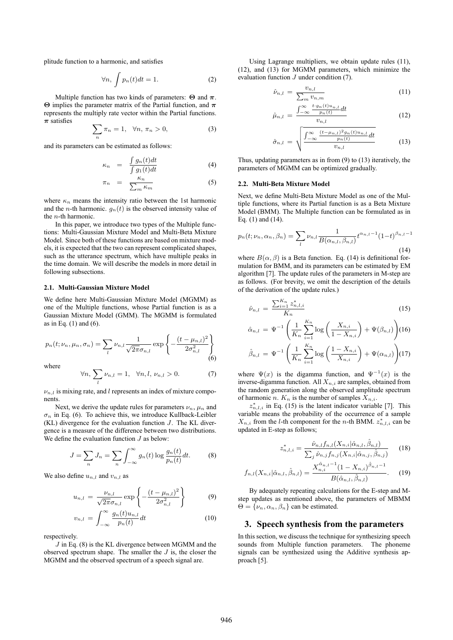plitude function to a harmonic, and satisfies

$$
\forall n, \int p_n(t)dt = 1. \tag{2}
$$

Multiple function has two kinds of parameters: **Θ** and *π*. **Θ** implies the parameter matrix of the Partial function, and *π* represents the multiply rate vector within the Partial functions. *π* satisfies

$$
\sum_{n} \pi_n = 1, \quad \forall n, \pi_n > 0,
$$
\n(3)

n and its parameters can be estimated as follows:

$$
\kappa_n = \frac{\int g_n(t)dt}{\int g_1(t)dt} \tag{4}
$$

$$
\pi_n = \frac{\kappa_n}{\sum_m \kappa_m} \tag{5}
$$

where  $\kappa_n$  means the intensity ratio between the 1st harmonic and the *n*-th harmonic.  $g_n(t)$  is the observed intensity value of the  $n$ -th harmonic.

In this paper, we introduce two types of the Multiple functions: Multi-Gaussian Mixture Model and Multi-Beta Mixture Model. Since both of these functions are based on mixture models, it is expected that the two can represent complicated shapes, such as the utterance spectrum, which have multiple peaks in the time domain. We will describe the models in more detail in following subsections.

#### **2.1. Multi-Gaussian Mixture Model**

We define here Multi-Gaussian Mixture Model (MGMM) as one of the Multiple functions, whose Partial function is as a Gaussian Mixture Model (GMM). The MGMM is formulated as in Eq.  $(1)$  and  $(6)$ .

$$
p_n(t; \nu_n, \mu_n, \sigma_n) = \sum_l \nu_{n,l} \frac{1}{\sqrt{2\pi}\sigma_{n,l}} \exp\left\{-\frac{(t-\mu_{n,l})^2}{2\sigma_{n,l}^2}\right\}
$$
(6)

where

$$
\forall n, \sum_{l} \nu_{n,l} = 1, \quad \forall n, l, \nu_{n,l} > 0. \tag{7}
$$

 $\nu_{n,l}$  is mixing rate, and l represents an index of mixture components.

Next, we derive the update rules for parameters  $\nu_n$ ,  $\mu_n$  and  $\sigma_n$  in Eq. (6). To achieve this, we introduce Kullback-Leibler  $(KL)$  divergence for the evaluation function  $J$ . The KL divergence is a measure of the difference between two distributions. We define the evaluation function  $J$  as below:

$$
J = \sum_{n} J_n = \sum_{n} \int_{-\infty}^{\infty} g_n(t) \log \frac{g_n(t)}{p_n(t)} dt.
$$
 (8)

We also define  $u_{n,l}$  and  $v_{n,l}$  as

$$
u_{n,l} = \frac{\nu_{n,l}}{\sqrt{2\pi}\sigma_{n,l}} \exp\left\{-\frac{(t-\mu_{n,l})^2}{2\sigma_{n,l}^2}\right\}
$$
(9)

$$
v_{n,l} = \int_{-\infty}^{\infty} \frac{g_n(t)u_{n,l}}{p_n(t)} dt
$$
 (10)

respectively.

 $J$  in Eq. (8) is the KL divergence between MGMM and the observed spectrum shape. The smaller the  $J$  is, the closer the MGMM and the observed spectrum of a speech signal are.

Using Lagrange multipliers, we obtain update rules (11), (12), and (13) for MGMM parameters, which minimize the evaluation function  $J$  under condition (7).

$$
\hat{\nu}_{n,l} = \frac{v_{n,l}}{\sum_{m} v_{n,m}} \tag{11}
$$

$$
\hat{\mu}_{n,l} = \frac{\int_{-\infty}^{\infty} \frac{t \cdot g_n(t) u_{n,l}}{p_n(t)} dt}{v_{n,l}}
$$
\n(12)

$$
\hat{\sigma}_{n,l} = \sqrt{\frac{\int_{-\infty}^{\infty} \frac{(t-\mu_{n,l})^2 g_n(t) u_{n,l}}{p_n(t)} dt}{v_{n,l}}}
$$
(13)

Thus, updating parameters as in from (9) to (13) iteratively, the parameters of MGMM can be optimized gradually.

#### **2.2. Multi-Beta Mixture Model**

Next, we define Multi-Beta Mixture Model as one of the Multiple functions, where its Partial function is as a Beta Mixture Model (BMM). The Multiple function can be formulated as in Eq. (1) and (14).

$$
p_n(t; \nu_n, \alpha_n, \beta_n) = \sum_{l} \nu_{n,l} \frac{1}{B(\alpha_{n,l}, \beta_{n,l})} t^{\alpha_{n,l}-1} (1-t)^{\beta_{n,l}-1}
$$
(14)

where  $B(\alpha, \beta)$  is a Beta function. Eq. (14) is definitional formulation for BMM, and its parameters can be estimated by EM algorithm [7]. The update rules of the parameters in M-step are as follows. (For brevity, we omit the description of the details of the derivation of the update rules.)

$$
\hat{\nu}_{n,l} = \frac{\sum_{i=1}^{K_n} z_{n,l,i}^*}{K_n} \tag{15}
$$

$$
\hat{\alpha}_{n,l} = \Psi^{-1} \left( \frac{1}{K_n} \sum_{i=1}^{K_n} \log \left( \frac{X_{n,i}}{1 - X_{n,i}} \right) + \Psi(\beta_{n,l}) \right) (16)
$$

$$
\hat{\beta}_{n,l} = \Psi^{-1} \left( \frac{1}{K_n} \sum_{i=1}^{K_n} \log \left( \frac{1 - X_{n,i}}{X_{n,i}} \right) + \Psi(\alpha_{n,l}) \right) (17)
$$

where  $\Psi(x)$  is the digamma function, and  $\Psi^{-1}(x)$  is the inverse-digamma function. All  $X_{n,i}$  are samples, obtained from the random generation along the observed amplitude spectrum of harmonic n.  $K_n$  is the number of samples  $X_{n,i}$ .

 $z_{n,l,i}^*$  in Eq. (15) is the latent indicator variable [7]. This variable means the probability of the occurrence of a sample  $X_{n,i}$  from the l-th component for the *n*-th BMM.  $z_{n,l,i}^*$  can be undeted in E step as follows: updated in E-step as follows;

$$
z_{n,l,i}^{*} = \frac{\hat{\nu}_{n,l}f_{n,l}(X_{n,i}|\hat{\alpha}_{n,l}, \hat{\beta}_{n,l})}{\sum_{j} \hat{\nu}_{n,j}f_{n,j}(X_{n,i}|\hat{\alpha}_{n,j}, \hat{\beta}_{n,j})}
$$
(18)

$$
f_{n,l}(X_{n,i}|\hat{\alpha}_{n,l},\hat{\beta}_{n,l}) = \frac{X_{n,i}^{\hat{\alpha}_{n,l}-1}(1 - X_{n,i})^{\hat{\beta}_{n,l}-1}}{B(\hat{\alpha}_{n,l},\hat{\beta}_{n,l})}.
$$
 (19)

By adequately repeating calculations for the E-step and Mstep updates as mentioned above, the parameters of MBMM  $\Theta = {\nu_n, \alpha_n, \beta_n}$  can be estimated.

#### **3. Speech synthesis from the parameters**

In this section, we discuss the technique for synthesizing speech sounds from Multiple function parameters. The phoneme signals can be synthesized using the Additive synthesis approach [5].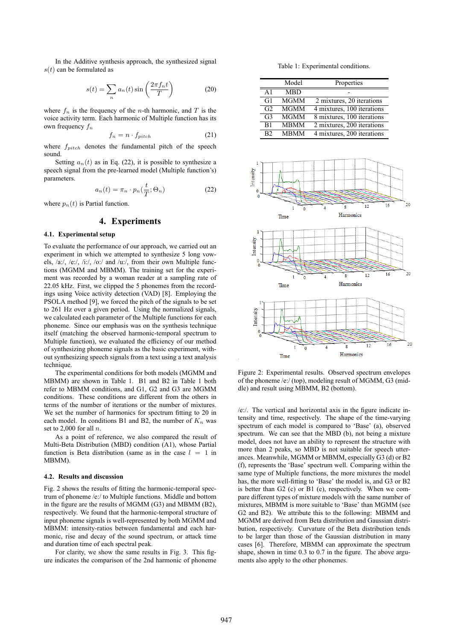In the Additive synthesis approach, the synthesized signal  $s(t)$  can be formulated as

$$
s(t) = \sum_{n} a_n(t) \sin\left(\frac{2\pi f_n t}{T}\right)
$$
 (20)

where  $f_n$  is the frequency of the *n*-th harmonic, and  $T$  is the voice activity term. Each harmonic of Multiple function has its own frequency  $f_n$ 

$$
f_n = n \cdot f_{pitch} \tag{21}
$$

where  $f_{pitch}$  denotes the fundamental pitch of the speech sound.

Setting  $a_n(t)$  as in Eq. (22), it is possible to synthesize a speech signal from the pre-learned model (Multiple function's) parameters.

$$
a_n(t) = \pi_n \cdot p_n(\frac{t}{T}; \Theta_n)
$$
 (22)

where  $p_n(t)$  is Partial function.

### **4. Experiments**

#### **4.1. Experimental setup**

To evaluate the performance of our approach, we carried out an experiment in which we attempted to synthesize 5 long vowels, /a:/, /e:/, /i:/, /o:/ and /u:/, from their own Multiple functions (MGMM and MBMM). The training set for the experiment was recorded by a woman reader at a sampling rate of 22.05 kHz. First, we clipped the 5 phonemes from the recordings using Voice activity detection (VAD) [8]. Employing the PSOLA method [9], we forced the pitch of the signals to be set to 261 Hz over a given period. Using the normalized signals, we calculated each parameter of the Multiple functions for each phoneme. Since our emphasis was on the synthesis technique itself (matching the observed harmonic-temporal spectrum to Multiple function), we evaluated the efficiency of our method of synthesizing phoneme signals as the basic experiment, without synthesizing speech signals from a text using a text analysis technique.

The experimental conditions for both models (MGMM and MBMM) are shown in Table 1. B1 and B2 in Table 1 both refer to MBMM conditions, and G1, G2 and G3 are MGMM conditions. These conditions are different from the others in terms of the number of iterations or the number of mixtures. We set the number of harmonics for spectrum fitting to 20 in each model. In conditions B1 and B2, the number of  $K_n$  was set to 2,000 for all  $n$ .

As a point of reference, we also compared the result of Multi-Beta Distribution (MBD) condition (A1), whose Partial function is Beta distribution (same as in the case  $l = 1$  in MBMM).

#### **4.2. Results and discussion**

Fig. 2 shows the results of fitting the harmonic-temporal spectrum of phoneme /e:/ to Multiple functions. Middle and bottom in the figure are the results of MGMM (G3) and MBMM (B2), respectively. We found that the harmonic-temporal structure of input phoneme signals is well-represented by both MGMM and MBMM: intensity-ratios between fundamental and each harmonic, rise and decay of the sound spectrum, or attack time and duration time of each spectral peak.

For clarity, we show the same results in Fig. 3. This figure indicates the comparison of the 2nd harmonic of phoneme

Table 1: Experimental conditions.

|                | Model       | Properties                 |  |  |
|----------------|-------------|----------------------------|--|--|
| $\Delta$ 1     | <b>MBD</b>  |                            |  |  |
| G <sub>1</sub> | <b>MGMM</b> | 2 mixtures, 20 iterations  |  |  |
| G <sub>2</sub> | <b>MGMM</b> | 4 mixtures, 100 iterations |  |  |
| G <sub>3</sub> | <b>MGMM</b> | 8 mixtures, 100 iterations |  |  |
| B <sub>1</sub> | <b>MBMM</b> | 2 mixtures, 200 iterations |  |  |
| B <sub>2</sub> | <b>MBMM</b> | 4 mixtures, 200 iterations |  |  |



Figure 2: Experimental results. Observed spectrum envelopes of the phoneme /e:/ (top), modeling result of MGMM, G3 (middle) and result using MBMM, B2 (bottom).

/e:/. The vertical and horizontal axis in the figure indicate intensity and time, respectively. The shape of the time-varying spectrum of each model is compared to 'Base' (a), observed spectrum. We can see that the MBD (b), not being a mixture model, does not have an ability to represent the structure with more than 2 peaks, so MBD is not suitable for speech utterances. Meanwhile, MGMM or MBMM, especially G3 (d) or B2 (f), represents the 'Base' spectrum well. Comparing within the same type of Multiple functions, the more mixtures the model has, the more well-fitting to 'Base' the model is, and G3 or B2 is better than G2 (c) or B1 (e), respectively. When we compare different types of mixture models with the same number of mixtures, MBMM is more suitable to 'Base' than MGMM (see G2 and B2). We attribute this to the following: MBMM and MGMM are derived from Beta distribution and Gaussian distribution, respectively. Curvature of the Beta distribution tends to be larger than those of the Gaussian distribution in many cases [6]. Therefore, MBMM can approximate the spectrum shape, shown in time 0.3 to 0.7 in the figure. The above arguments also apply to the other phonemes.